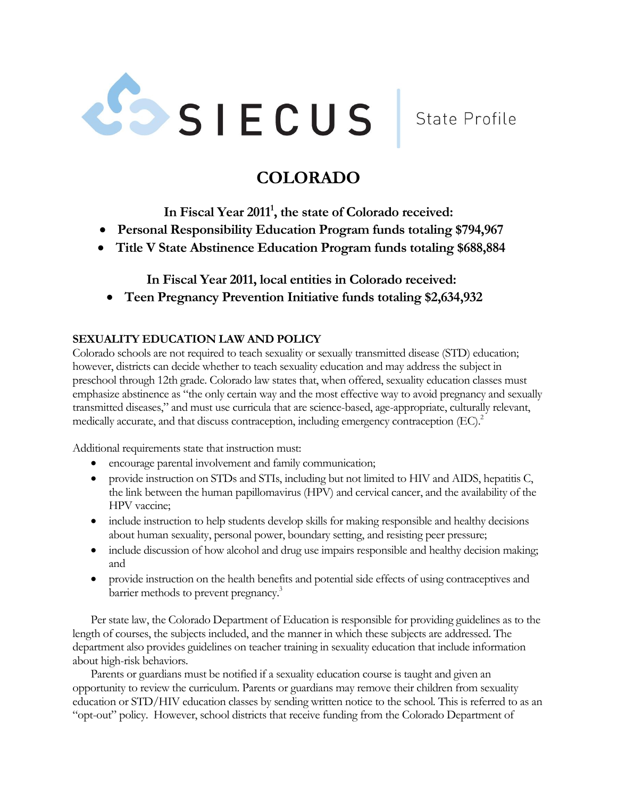

State Profile

# **COLORADO**

**In Fiscal Year 2011 1 , the state of Colorado received:**

- **Personal Responsibility Education Program funds totaling \$794,967**
- **Title V State Abstinence Education Program funds totaling \$688,884**

**In Fiscal Year 2011, local entities in Colorado received:**

**Teen Pregnancy Prevention Initiative funds totaling \$2,634,932**

# **SEXUALITY EDUCATION LAW AND POLICY**

Colorado schools are not required to teach sexuality or sexually transmitted disease (STD) education; however, districts can decide whether to teach sexuality education and may address the subject in preschool through 12th grade. Colorado law states that, when offered, sexuality education classes must emphasize abstinence as "the only certain way and the most effective way to avoid pregnancy and sexually transmitted diseases," and must use curricula that are science-based, age-appropriate, culturally relevant, medically accurate, and that discuss contraception, including emergency contraception (EC).<sup>2</sup>

Additional requirements state that instruction must:

- encourage parental involvement and family communication;
- provide instruction on STDs and STIs, including but not limited to HIV and AIDS, hepatitis C, the link between the human papillomavirus (HPV) and cervical cancer, and the availability of the HPV vaccine;
- include instruction to help students develop skills for making responsible and healthy decisions about human sexuality, personal power, boundary setting, and resisting peer pressure;
- include discussion of how alcohol and drug use impairs responsible and healthy decision making; and
- provide instruction on the health benefits and potential side effects of using contraceptives and barrier methods to prevent pregnancy.<sup>3</sup>

Per state law, the Colorado Department of Education is responsible for providing guidelines as to the length of courses, the subjects included, and the manner in which these subjects are addressed. The department also provides guidelines on teacher training in sexuality education that include information about high-risk behaviors.

Parents or guardians must be notified if a sexuality education course is taught and given an opportunity to review the curriculum. Parents or guardians may remove their children from sexuality education or STD/HIV education classes by sending written notice to the school. This is referred to as an "opt-out" policy. However, school districts that receive funding from the Colorado Department of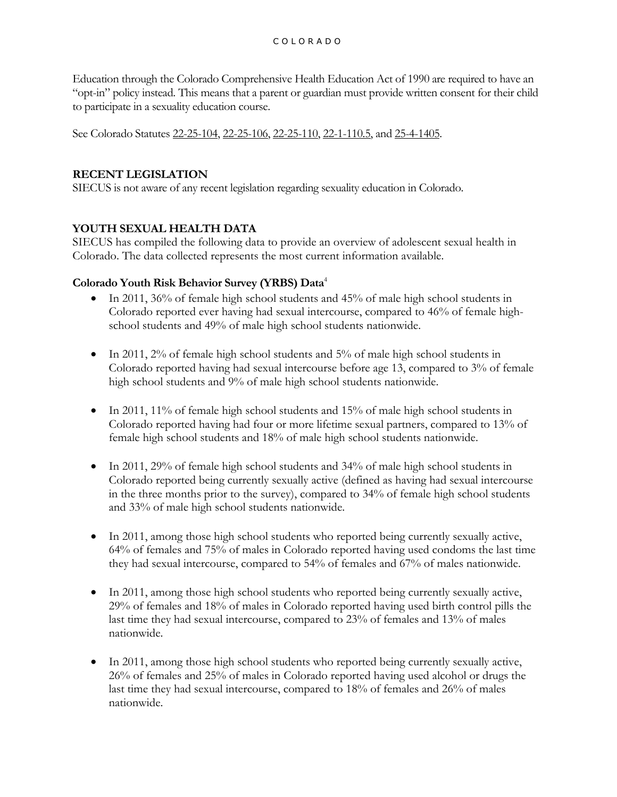Education through the Colorado Comprehensive Health Education Act of 1990 are required to have an "opt-in" policy instead. This means that a parent or guardian must provide written consent for their child to participate in a sexuality education course.

See Colorado Statutes [22-25-104,](http://www.michie.com/colorado/lpext.dll/cocode/1/35d4a/370c9/37397/373e6?f=templates&fn=document-frame.htm&2.0#JD_22-25-104) [22-25-106,](http://www.michie.com/colorado/lpext.dll/cocode/1/35d4a/370c9/37397/3742e?f=templates&fn=document-frame.htm&2.0#JD_22-25-106) [22-25-110,](http://www.michie.com/colorado/lpext.dll/cocode/1/35d4a/370c9/37397/37456?f=templates&fn=document-frame.htm&2.0#JD_22-25-110) [22-1-110.5,](http://www.michie.com/colorado/lpext.dll/cocode/1/35d4a/35dba/35dbc/35e79?f=templates&fn=document-frame.htm&2.0#JD_22-1-1105) an[d 25-4-1405.](http://www.michie.com/colorado/lpext.dll/cocode/1/464c7/474d0/474d2/47a4a/47a8d?f=templates&fn=document-frame.htm&2.0#JD_25-4-1405)

# **RECENT LEGISLATION**

SIECUS is not aware of any recent legislation regarding sexuality education in Colorado.

# **YOUTH SEXUAL HEALTH DATA**

SIECUS has compiled the following data to provide an overview of adolescent sexual health in Colorado. The data collected represents the most current information available.

# **Colorado Youth Risk Behavior Survey (YRBS) Data**<sup>4</sup>

- In 2011, 36% of female high school students and 45% of male high school students in Colorado reported ever having had sexual intercourse, compared to 46% of female highschool students and 49% of male high school students nationwide.
- $\bullet$  In 2011, 2% of female high school students and 5% of male high school students in Colorado reported having had sexual intercourse before age 13, compared to 3% of female high school students and 9% of male high school students nationwide.
- $\bullet$  In 2011, 11% of female high school students and 15% of male high school students in Colorado reported having had four or more lifetime sexual partners, compared to 13% of female high school students and 18% of male high school students nationwide.
- $\bullet$  In 2011, 29% of female high school students and 34% of male high school students in Colorado reported being currently sexually active (defined as having had sexual intercourse in the three months prior to the survey), compared to 34% of female high school students and 33% of male high school students nationwide.
- In 2011, among those high school students who reported being currently sexually active, 64% of females and 75% of males in Colorado reported having used condoms the last time they had sexual intercourse, compared to 54% of females and 67% of males nationwide.
- In 2011, among those high school students who reported being currently sexually active, 29% of females and 18% of males in Colorado reported having used birth control pills the last time they had sexual intercourse, compared to 23% of females and 13% of males nationwide.
- In 2011, among those high school students who reported being currently sexually active, 26% of females and 25% of males in Colorado reported having used alcohol or drugs the last time they had sexual intercourse, compared to 18% of females and 26% of males nationwide.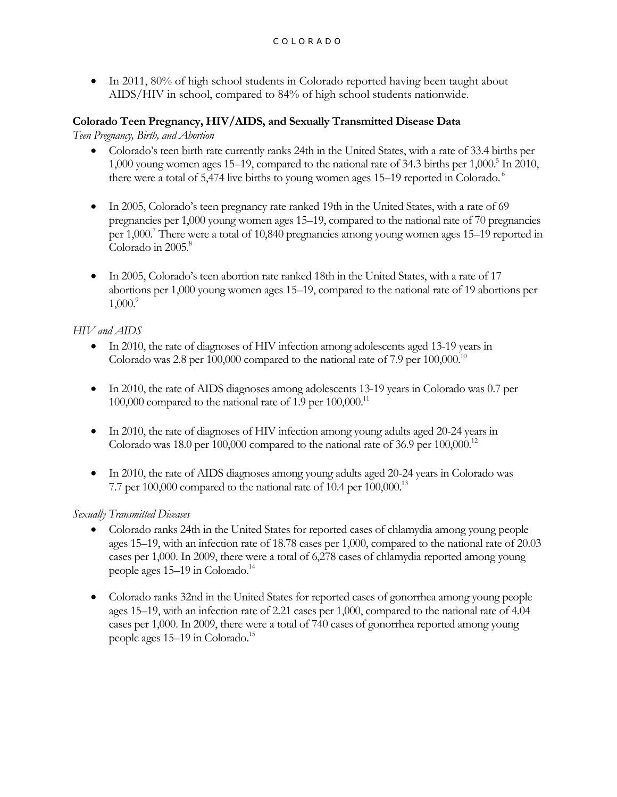• In 2011, 80% of high school students in Colorado reported having been taught about AIDS/HIV in school, compared to 84% of high school students nationwide.

# **Colorado Teen Pregnancy, HIV/AIDS, and Sexually Transmitted Disease Data**

*Teen Pregnancy, Birth, and Abortion*

- Colorado's teen birth rate currently ranks 24th in the United States, with a rate of 33.4 births per 1,000 young women ages 15–19, compared to the national rate of 34.3 births per  $1,000$ .<sup>5</sup> In 2010, there were a total of 5,474 live births to young women ages 15–19 reported in Colorado.<sup>6</sup>
- In 2005, Colorado's teen pregnancy rate ranked 19th in the United States, with a rate of 69 pregnancies per 1,000 young women ages 15–19, compared to the national rate of 70 pregnancies per 1,000.<sup>7</sup> There were a total of 10,840 pregnancies among young women ages 15–19 reported in Colorado in 2005. 8
- In 2005, Colorado's teen abortion rate ranked 18th in the United States, with a rate of 17 abortions per 1,000 young women ages 15–19, compared to the national rate of 19 abortions per  $1,000$ .

# *HIV and AIDS*

- In 2010, the rate of diagnoses of HIV infection among adolescents aged 13-19 years in Colorado was 2.8 per 100,000 compared to the national rate of 7.9 per  $100,000$ .<sup>10</sup>
- In 2010, the rate of AIDS diagnoses among adolescents 13-19 years in Colorado was 0.7 per 100,000 compared to the national rate of 1.9 per  $100,000$ .<sup>11</sup>
- In 2010, the rate of diagnoses of HIV infection among young adults aged 20-24 years in Colorado was 18.0 per 100,000 compared to the national rate of 36.9 per  $100,000$ .<sup>12</sup>
- In 2010, the rate of AIDS diagnoses among young adults aged 20-24 years in Colorado was 7.7 per 100,000 compared to the national rate of 10.4 per  $100,000$ .<sup>13</sup>

# *Sexually Transmitted Diseases*

- Colorado ranks 24th in the United States for reported cases of chlamydia among young people ages 15–19, with an infection rate of 18.78 cases per 1,000, compared to the national rate of 20.03 cases per 1,000. In 2009, there were a total of 6,278 cases of chlamydia reported among young people ages 15–19 in Colorado. 14
- Colorado ranks 32nd in the United States for reported cases of gonorrhea among young people ages 15–19, with an infection rate of 2.21 cases per 1,000, compared to the national rate of 4.04 cases per 1,000. In 2009, there were a total of 740 cases of gonorrhea reported among young people ages 15–19 in Colorado. 15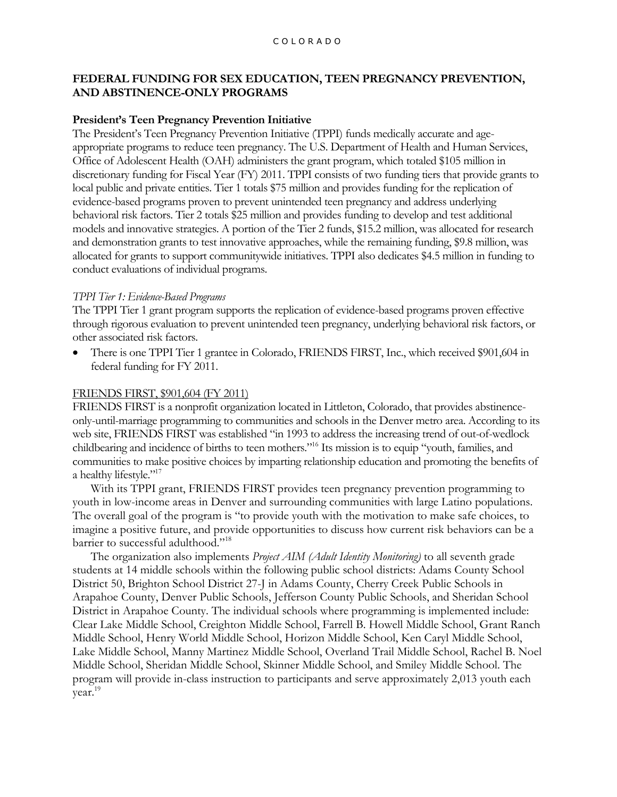# **FEDERAL FUNDING FOR SEX EDUCATION, TEEN PREGNANCY PREVENTION, AND ABSTINENCE-ONLY PROGRAMS**

# **President's Teen Pregnancy Prevention Initiative**

The President's Teen Pregnancy Prevention Initiative (TPPI) funds medically accurate and ageappropriate programs to reduce teen pregnancy. The U.S. Department of Health and Human Services, Office of Adolescent Health (OAH) administers the grant program, which totaled \$105 million in discretionary funding for Fiscal Year (FY) 2011. TPPI consists of two funding tiers that provide grants to local public and private entities. Tier 1 totals \$75 million and provides funding for the replication of evidence-based programs proven to prevent unintended teen pregnancy and address underlying behavioral risk factors. Tier 2 totals \$25 million and provides funding to develop and test additional models and innovative strategies. A portion of the Tier 2 funds, \$15.2 million, was allocated for research and demonstration grants to test innovative approaches, while the remaining funding, \$9.8 million, was allocated for grants to support communitywide initiatives. TPPI also dedicates \$4.5 million in funding to conduct evaluations of individual programs.

## *TPPI Tier 1: Evidence-Based Programs*

The TPPI Tier 1 grant program supports the replication of evidence-based programs proven effective through rigorous evaluation to prevent unintended teen pregnancy, underlying behavioral risk factors, or other associated risk factors.

 There is one TPPI Tier 1 grantee in Colorado, FRIENDS FIRST, Inc., which received \$901,604 in federal funding for FY 2011.

# FRIENDS FIRST, \$901,604 (FY 2011)

FRIENDS FIRST is a nonprofit organization located in Littleton, Colorado, that provides abstinenceonly-until-marriage programming to communities and schools in the Denver metro area. According to its web site, FRIENDS FIRST was established "in 1993 to address the increasing trend of out-of-wedlock childbearing and incidence of births to teen mothers."<sup>16</sup> Its mission is to equip "youth, families, and communities to make positive choices by imparting relationship education and promoting the benefits of a healthy lifestyle."<sup>17</sup>

With its TPPI grant, FRIENDS FIRST provides teen pregnancy prevention programming to youth in low-income areas in Denver and surrounding communities with large Latino populations. The overall goal of the program is "to provide youth with the motivation to make safe choices, to imagine a positive future, and provide opportunities to discuss how current risk behaviors can be a barrier to successful adulthood."<sup>18</sup>

The organization also implements *Project AIM (Adult Identity Monitoring)* to all seventh grade students at 14 middle schools within the following public school districts: Adams County School District 50, Brighton School District 27-J in Adams County, Cherry Creek Public Schools in Arapahoe County, Denver Public Schools, Jefferson County Public Schools, and Sheridan School District in Arapahoe County. The individual schools where programming is implemented include: Clear Lake Middle School, Creighton Middle School, Farrell B. Howell Middle School, Grant Ranch Middle School, Henry World Middle School, Horizon Middle School, Ken Caryl Middle School, Lake Middle School, Manny Martinez Middle School, Overland Trail Middle School, Rachel B. Noel Middle School, Sheridan Middle School, Skinner Middle School, and Smiley Middle School. The program will provide in-class instruction to participants and serve approximately 2,013 youth each year.19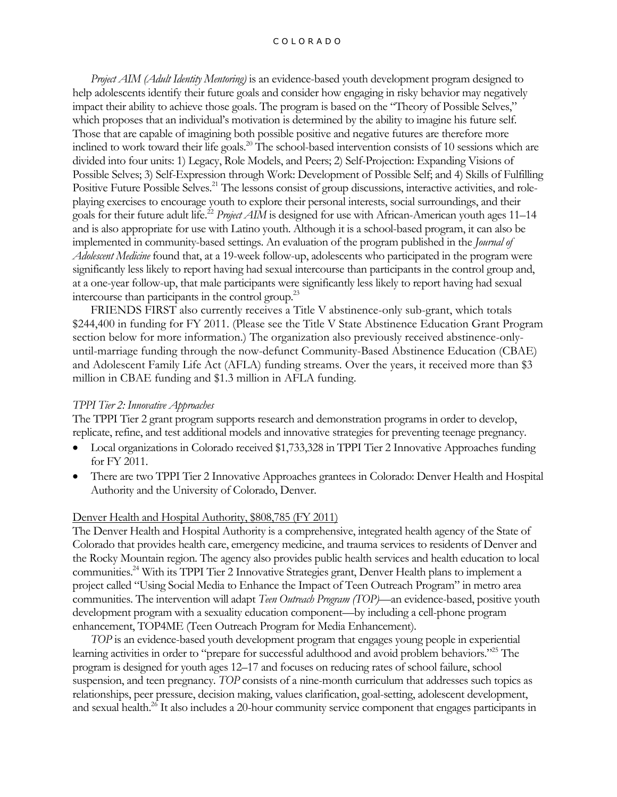#### C O L O R A D O

*Project AIM (Adult Identity Mentoring)* is an evidence-based youth development program designed to help adolescents identify their future goals and consider how engaging in risky behavior may negatively impact their ability to achieve those goals. The program is based on the "Theory of Possible Selves," which proposes that an individual's motivation is determined by the ability to imagine his future self. Those that are capable of imagining both possible positive and negative futures are therefore more inclined to work toward their life goals.<sup>20</sup> The school-based intervention consists of 10 sessions which are divided into four units: 1) Legacy, Role Models, and Peers; 2) Self-Projection: Expanding Visions of Possible Selves; 3) Self-Expression through Work: Development of Possible Self; and 4) Skills of Fulfilling Positive Future Possible Selves.<sup>21</sup> The lessons consist of group discussions, interactive activities, and roleplaying exercises to encourage youth to explore their personal interests, social surroundings, and their goals for their future adult life.<sup>22</sup> *Project AIM* is designed for use with African-American youth ages 11–14 and is also appropriate for use with Latino youth. Although it is a school-based program, it can also be implemented in community-based settings. An evaluation of the program published in the *Journal of Adolescent Medicine* found that, at a 19-week follow-up, adolescents who participated in the program were significantly less likely to report having had sexual intercourse than participants in the control group and, at a one-year follow-up, that male participants were significantly less likely to report having had sexual intercourse than participants in the control group.<sup>23</sup>

FRIENDS FIRST also currently receives a Title V abstinence-only sub-grant, which totals \$244,400 in funding for FY 2011. (Please see the Title V State Abstinence Education Grant Program section below for more information.) The organization also previously received abstinence-onlyuntil-marriage funding through the now-defunct Community-Based Abstinence Education (CBAE) and Adolescent Family Life Act (AFLA) funding streams. Over the years, it received more than \$3 million in CBAE funding and \$1.3 million in AFLA funding.

#### *TPPI Tier 2: Innovative Approaches*

The TPPI Tier 2 grant program supports research and demonstration programs in order to develop, replicate, refine, and test additional models and innovative strategies for preventing teenage pregnancy.

- Local organizations in Colorado received \$1,733,328 in TPPI Tier 2 Innovative Approaches funding for FY 2011.
- There are two TPPI Tier 2 Innovative Approaches grantees in Colorado: Denver Health and Hospital Authority and the University of Colorado, Denver.

#### Denver Health and Hospital Authority, \$808,785 (FY 2011)

The Denver Health and Hospital Authority is a comprehensive, integrated health agency of the State of Colorado that provides health care, emergency medicine, and trauma services to residents of Denver and the Rocky Mountain region. The agency also provides public health services and health education to local communities.<sup>24</sup> With its TPPI Tier 2 Innovative Strategies grant, Denver Health plans to implement a project called "Using Social Media to Enhance the Impact of Teen Outreach Program" in metro area communities. The intervention will adapt *Teen Outreach Program (TOP)*—an evidence-based, positive youth development program with a sexuality education component—by including a cell-phone program enhancement, TOP4ME (Teen Outreach Program for Media Enhancement).

*TOP* is an evidence-based youth development program that engages young people in experiential learning activities in order to "prepare for successful adulthood and avoid problem behaviors."<sup>25</sup> The program is designed for youth ages 12–17 and focuses on reducing rates of school failure, school suspension, and teen pregnancy. *TOP* consists of a nine-month curriculum that addresses such topics as relationships, peer pressure, decision making, values clarification, goal-setting, adolescent development, and sexual health.<sup>26</sup> It also includes a 20-hour community service component that engages participants in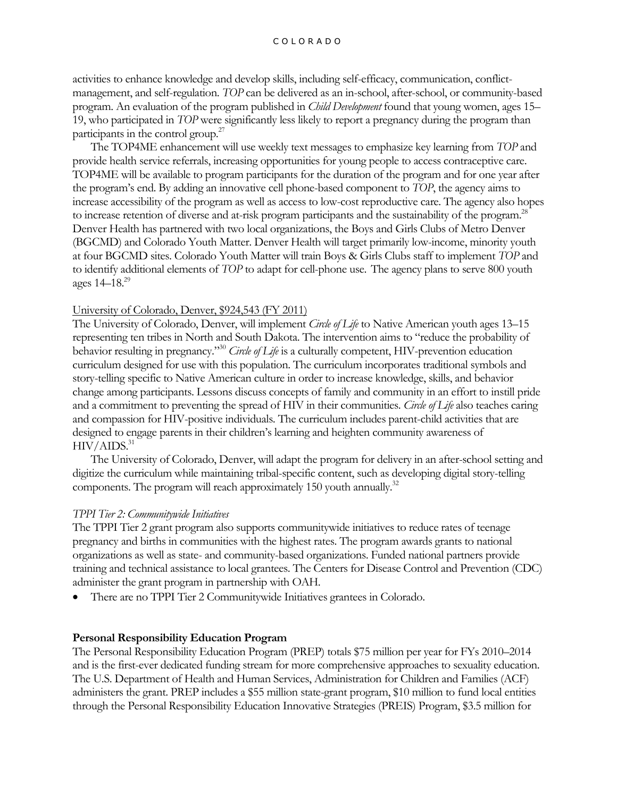activities to enhance knowledge and develop skills, including self-efficacy, communication, conflictmanagement, and self-regulation. *TOP* can be delivered as an in-school, after-school, or community-based program. An evaluation of the program published in *Child Development* found that young women, ages 15– 19, who participated in *TOP* were significantly less likely to report a pregnancy during the program than participants in the control group.<sup>27</sup>

The TOP4ME enhancement will use weekly text messages to emphasize key learning from *TOP* and provide health service referrals, increasing opportunities for young people to access contraceptive care. TOP4ME will be available to program participants for the duration of the program and for one year after the program's end. By adding an innovative cell phone-based component to *TOP*, the agency aims to increase accessibility of the program as well as access to low-cost reproductive care. The agency also hopes to increase retention of diverse and at-risk program participants and the sustainability of the program.<sup>28</sup> Denver Health has partnered with two local organizations, the Boys and Girls Clubs of Metro Denver (BGCMD) and Colorado Youth Matter. Denver Health will target primarily low-income, minority youth at four BGCMD sites. Colorado Youth Matter will train Boys & Girls Clubs staff to implement *TOP* and to identify additional elements of *TOP* to adapt for cell-phone use. The agency plans to serve 800 youth ages  $14-18^{29}$ 

## University of Colorado, Denver, \$924,543 (FY 2011)

The University of Colorado, Denver, will implement *Circle of Life* to Native American youth ages 13–15 representing ten tribes in North and South Dakota. The intervention aims to "reduce the probability of behavior resulting in pregnancy."<sup>30</sup> *Circle of Life* is a culturally competent, HIV-prevention education curriculum designed for use with this population. The curriculum incorporates traditional symbols and story-telling specific to Native American culture in order to increase knowledge, skills, and behavior change among participants. Lessons discuss concepts of family and community in an effort to instill pride and a commitment to preventing the spread of HIV in their communities. *Circle of Life* also teaches caring and compassion for HIV-positive individuals. The curriculum includes parent-child activities that are designed to engage parents in their children's learning and heighten community awareness of  $HIV/AIDS.<sup>31</sup>$ 

The University of Colorado, Denver, will adapt the program for delivery in an after-school setting and digitize the curriculum while maintaining tribal-specific content, such as developing digital story-telling components. The program will reach approximately 150 youth annually.<sup>32</sup>

# *TPPI Tier 2: Communitywide Initiatives*

The TPPI Tier 2 grant program also supports communitywide initiatives to reduce rates of teenage pregnancy and births in communities with the highest rates. The program awards grants to national organizations as well as state- and community-based organizations. Funded national partners provide training and technical assistance to local grantees. The Centers for Disease Control and Prevention (CDC) administer the grant program in partnership with OAH.

There are no TPPI Tier 2 Communitywide Initiatives grantees in Colorado.

# **Personal Responsibility Education Program**

The Personal Responsibility Education Program (PREP) totals \$75 million per year for FYs 2010–2014 and is the first-ever dedicated funding stream for more comprehensive approaches to sexuality education. The U.S. Department of Health and Human Services, Administration for Children and Families (ACF) administers the grant. PREP includes a \$55 million state-grant program, \$10 million to fund local entities through the Personal Responsibility Education Innovative Strategies (PREIS) Program, \$3.5 million for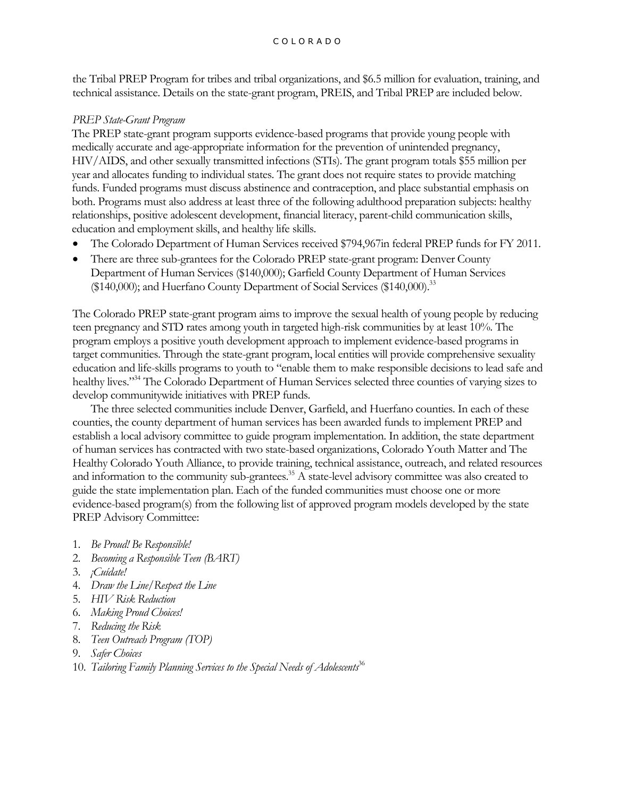the Tribal PREP Program for tribes and tribal organizations, and \$6.5 million for evaluation, training, and technical assistance. Details on the state-grant program, PREIS, and Tribal PREP are included below.

# *PREP State-Grant Program*

The PREP state-grant program supports evidence-based programs that provide young people with medically accurate and age-appropriate information for the prevention of unintended pregnancy, HIV/AIDS, and other sexually transmitted infections (STIs). The grant program totals \$55 million per year and allocates funding to individual states. The grant does not require states to provide matching funds. Funded programs must discuss abstinence and contraception, and place substantial emphasis on both. Programs must also address at least three of the following adulthood preparation subjects: healthy relationships, positive adolescent development, financial literacy, parent-child communication skills, education and employment skills, and healthy life skills.

- The Colorado Department of Human Services received \$794,967in federal PREP funds for FY 2011.
- There are three sub-grantees for the Colorado PREP state-grant program: Denver County Department of Human Services (\$140,000); Garfield County Department of Human Services (\$140,000); and Huerfano County Department of Social Services (\$140,000).<sup>33</sup>

The Colorado PREP state-grant program aims to improve the sexual health of young people by reducing teen pregnancy and STD rates among youth in targeted high-risk communities by at least 10%. The program employs a positive youth development approach to implement evidence-based programs in target communities. Through the state-grant program, local entities will provide comprehensive sexuality education and life-skills programs to youth to "enable them to make responsible decisions to lead safe and healthy lives."<sup>34</sup> The Colorado Department of Human Services selected three counties of varying sizes to develop communitywide initiatives with PREP funds.

The three selected communities include Denver, Garfield, and Huerfano counties. In each of these counties, the county department of human services has been awarded funds to implement PREP and establish a local advisory committee to guide program implementation. In addition, the state department of human services has contracted with two state-based organizations, Colorado Youth Matter and The Healthy Colorado Youth Alliance, to provide training, technical assistance, outreach, and related resources and information to the community sub-grantees.<sup>35</sup> A state-level advisory committee was also created to guide the state implementation plan. Each of the funded communities must choose one or more evidence-based program(s) from the following list of approved program models developed by the state PREP Advisory Committee:

- 1. *Be Proud! Be Responsible!*
- 2. *Becoming a Responsible Teen (BART)*
- 3. *¡Cuídate!*
- 4. *Draw the Line/Respect the Line*
- 5. *HIV Risk Reduction*
- 6. *Making Proud Choices!*
- 7. *Reducing the Risk*
- 8. *Teen Outreach Program (TOP)*
- 9. *Safer Choices*
- 10. *Tailoring Family Planning Services to the Special Needs of Adolescents*<sup>36</sup>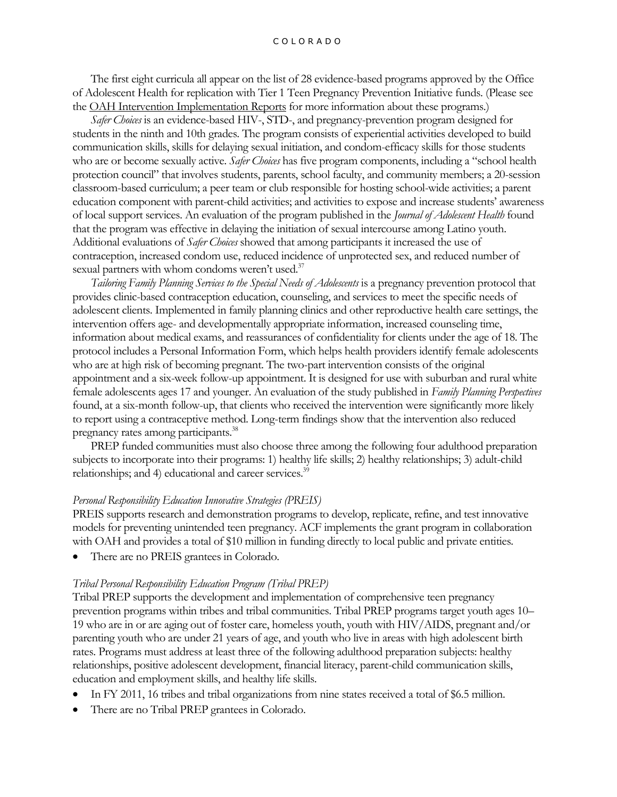#### C O L O R A D O

The first eight curricula all appear on the list of 28 evidence-based programs approved by the Office of Adolescent Health for replication with Tier 1 Teen Pregnancy Prevention Initiative funds. (Please see the OAH [Intervention Implementation Reports](http://www.hhs.gov/ash/oah/prevention/research/programs/index.html) for more information about these programs.)

*Safer Choices* is an evidence-based HIV-, STD-, and pregnancy-prevention program designed for students in the ninth and 10th grades. The program consists of experiential activities developed to build communication skills, skills for delaying sexual initiation, and condom-efficacy skills for those students who are or become sexually active. *Safer Choices* has five program components, including a "school health protection council" that involves students, parents, school faculty, and community members; a 20-session classroom-based curriculum; a peer team or club responsible for hosting school-wide activities; a parent education component with parent-child activities; and activities to expose and increase students' awareness of local support services. An evaluation of the program published in the *Journal of Adolescent Health* found that the program was effective in delaying the initiation of sexual intercourse among Latino youth. Additional evaluations of *Safer Choices* showed that among participants it increased the use of contraception, increased condom use, reduced incidence of unprotected sex, and reduced number of sexual partners with whom condoms weren't used. $37$ 

*Tailoring Family Planning Services to the Special Needs of Adolescents* is a pregnancy prevention protocol that provides clinic-based contraception education, counseling, and services to meet the specific needs of adolescent clients. Implemented in family planning clinics and other reproductive health care settings, the intervention offers age- and developmentally appropriate information, increased counseling time, information about medical exams, and reassurances of confidentiality for clients under the age of 18. The protocol includes a Personal Information Form, which helps health providers identify female adolescents who are at high risk of becoming pregnant. The two-part intervention consists of the original appointment and a six-week follow-up appointment. It is designed for use with suburban and rural white female adolescents ages 17 and younger. An evaluation of the study published in *Family Planning Perspectives* found, at a six-month follow-up, that clients who received the intervention were significantly more likely to report using a contraceptive method. Long-term findings show that the intervention also reduced pregnancy rates among participants.<sup>38</sup>

PREP funded communities must also choose three among the following four adulthood preparation subjects to incorporate into their programs: 1) healthy life skills; 2) healthy relationships; 3) adult-child relationships; and 4) educational and career services.<sup>39</sup>

#### *Personal Responsibility Education Innovative Strategies (PREIS)*

PREIS supports research and demonstration programs to develop, replicate, refine, and test innovative models for preventing unintended teen pregnancy. ACF implements the grant program in collaboration with OAH and provides a total of \$10 million in funding directly to local public and private entities.

There are no PREIS grantees in Colorado.

#### *Tribal Personal Responsibility Education Program (Tribal PREP)*

Tribal PREP supports the development and implementation of comprehensive teen pregnancy prevention programs within tribes and tribal communities. Tribal PREP programs target youth ages 10– 19 who are in or are aging out of foster care, homeless youth, youth with HIV/AIDS, pregnant and/or parenting youth who are under 21 years of age, and youth who live in areas with high adolescent birth rates. Programs must address at least three of the following adulthood preparation subjects: healthy relationships, positive adolescent development, financial literacy, parent-child communication skills, education and employment skills, and healthy life skills.

- In FY 2011, 16 tribes and tribal organizations from nine states received a total of \$6.5 million.
- There are no Tribal PREP grantees in Colorado.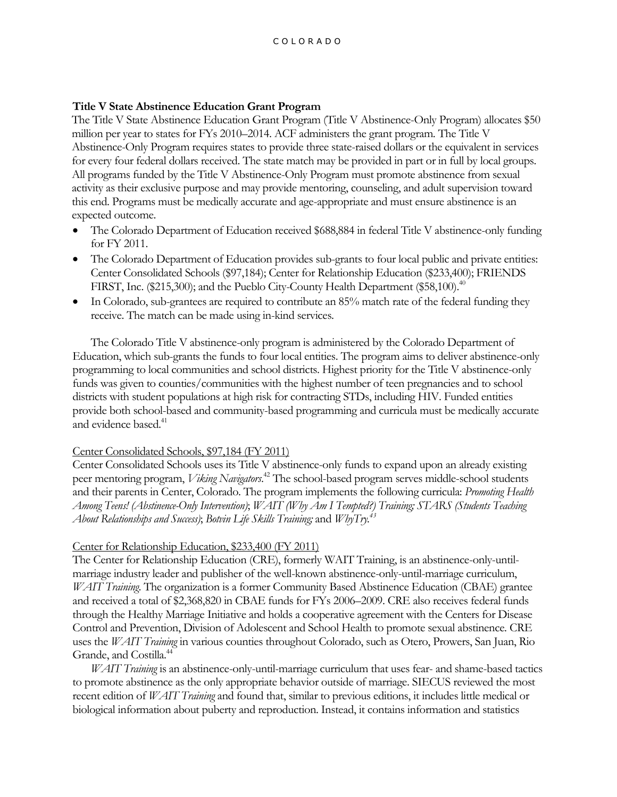## **Title V State Abstinence Education Grant Program**

The Title V State Abstinence Education Grant Program (Title V Abstinence-Only Program) allocates \$50 million per year to states for FYs 2010–2014. ACF administers the grant program. The Title V Abstinence-Only Program requires states to provide three state-raised dollars or the equivalent in services for every four federal dollars received. The state match may be provided in part or in full by local groups. All programs funded by the Title V Abstinence-Only Program must promote abstinence from sexual activity as their exclusive purpose and may provide mentoring, counseling, and adult supervision toward this end. Programs must be medically accurate and age-appropriate and must ensure abstinence is an expected outcome.

- The Colorado Department of Education received \$688,884 in federal Title V abstinence-only funding for FY 2011.
- The Colorado Department of Education provides sub-grants to four local public and private entities: Center Consolidated Schools (\$97,184); Center for Relationship Education (\$233,400); FRIENDS FIRST, Inc. (\$215,300); and the Pueblo City-County Health Department (\$58,100).<sup>40</sup>
- In Colorado, sub-grantees are required to contribute an 85% match rate of the federal funding they receive. The match can be made using in-kind services.

The Colorado Title V abstinence-only program is administered by the Colorado Department of Education, which sub-grants the funds to four local entities. The program aims to deliver abstinence-only programming to local communities and school districts. Highest priority for the Title V abstinence-only funds was given to counties/communities with the highest number of teen pregnancies and to school districts with student populations at high risk for contracting STDs, including HIV. Funded entities provide both school-based and community-based programming and curricula must be medically accurate and evidence based.<sup>41</sup>

## Center Consolidated Schools, \$97,184 (FY 2011)

Center Consolidated Schools uses its Title V abstinence-only funds to expand upon an already existing peer mentoring program, *Viking Navigators*. <sup>42</sup> The school-based program serves middle-school students and their parents in Center, Colorado. The program implements the following curricula: *Promoting Health Among Teens! (Abstinence-Only Intervention)*; *WAIT (Why Am I Tempted?) Training; STARS (Students Teaching About Relationships and Success)*; *Botvin Life Skills Training;* and *WhyTry.<sup>43</sup>*

## Center for Relationship Education, \$233,400 (FY 2011)

The Center for Relationship Education (CRE), formerly WAIT Training, is an abstinence-only-untilmarriage industry leader and publisher of the well-known abstinence-only-until-marriage curriculum, *WAIT Training*. The organization is a former Community Based Abstinence Education (CBAE) grantee and received a total of \$2,368,820 in CBAE funds for FYs 2006–2009. CRE also receives federal funds through the Healthy Marriage Initiative and holds a cooperative agreement with the Centers for Disease Control and Prevention, Division of Adolescent and School Health to promote sexual abstinence. CRE uses the *WAIT Training* in various counties throughout Colorado, such as Otero, Prowers, San Juan, Rio Grande, and Costilla.<sup>44</sup>

*WAIT Training* is an abstinence-only-until-marriage curriculum that uses fear- and shame-based tactics to promote abstinence as the only appropriate behavior outside of marriage. SIECUS reviewed the most recent edition of *WAIT Training* and found that, similar to previous editions, it includes little medical or biological information about puberty and reproduction. Instead, it contains information and statistics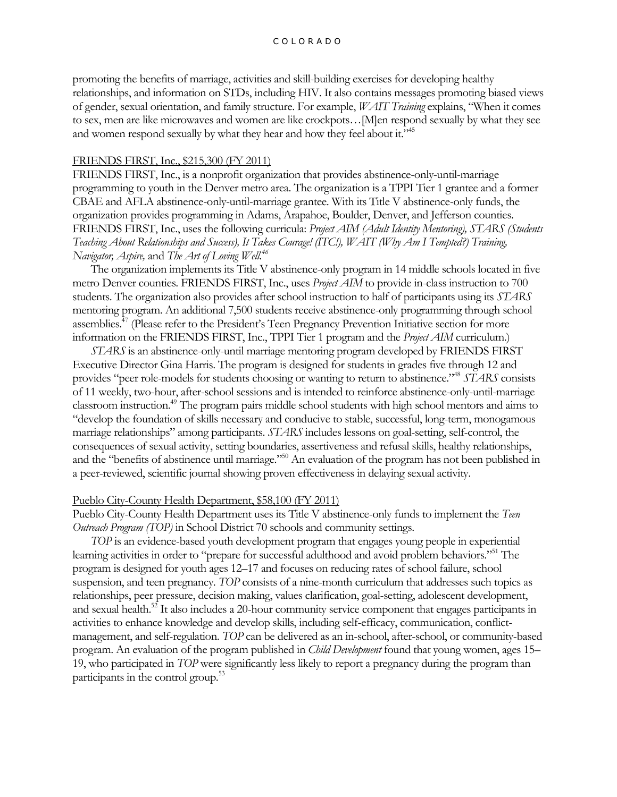promoting the benefits of marriage, activities and skill-building exercises for developing healthy relationships, and information on STDs, including HIV. It also contains messages promoting biased views of gender, sexual orientation, and family structure. For example, *WAIT Training* explains, "When it comes to sex, men are like microwaves and women are like crockpots…[M]en respond sexually by what they see and women respond sexually by what they hear and how they feel about it."<sup>45</sup>

#### FRIENDS FIRST, Inc., \$215,300 (FY 2011)

FRIENDS FIRST, Inc., is a nonprofit organization that provides abstinence-only-until-marriage programming to youth in the Denver metro area. The organization is a TPPI Tier 1 grantee and a former CBAE and AFLA abstinence-only-until-marriage grantee. With its Title V abstinence-only funds, the organization provides programming in Adams, Arapahoe, Boulder, Denver, and Jefferson counties. FRIENDS FIRST, Inc., uses the following curricula: *Project AIM (Adult Identity Mentoring), STARS (Students Teaching About Relationships and Success), It Takes Courage! (ITC!), WAIT (Why Am I Tempted?) Training, Navigator, Aspire,* and *The Art of Loving Well.<sup>46</sup>*

The organization implements its Title V abstinence-only program in 14 middle schools located in five metro Denver counties. FRIENDS FIRST, Inc., uses *Project AIM* to provide in-class instruction to 700 students. The organization also provides after school instruction to half of participants using its *STARS* mentoring program. An additional 7,500 students receive abstinence-only programming through school assemblies.<sup>47</sup> (Please refer to the President's Teen Pregnancy Prevention Initiative section for more information on the FRIENDS FIRST, Inc., TPPI Tier 1 program and the *Project AIM* curriculum.)

*STARS* is an abstinence-only-until marriage mentoring program developed by FRIENDS FIRST Executive Director Gina Harris. The program is designed for students in grades five through 12 and provides "peer role-models for students choosing or wanting to return to abstinence."<sup>48</sup> *STARS* consists of 11 weekly, two-hour, after-school sessions and is intended to reinforce abstinence-only-until-marriage classroom instruction.<sup>49</sup> The program pairs middle school students with high school mentors and aims to "develop the foundation of skills necessary and conducive to stable, successful, long-term, monogamous marriage relationships" among participants. *STARS* includes lessons on goal-setting, self-control, the consequences of sexual activity, setting boundaries, assertiveness and refusal skills, healthy relationships, and the "benefits of abstinence until marriage."<sup>50</sup> An evaluation of the program has not been published in a peer-reviewed, scientific journal showing proven effectiveness in delaying sexual activity.

#### Pueblo City-County Health Department, \$58,100 (FY 2011)

Pueblo City-County Health Department uses its Title V abstinence-only funds to implement the *Teen Outreach Program (TOP)* in School District 70 schools and community settings.

*TOP* is an evidence-based youth development program that engages young people in experiential learning activities in order to "prepare for successful adulthood and avoid problem behaviors."<sup>51</sup> The program is designed for youth ages 12–17 and focuses on reducing rates of school failure, school suspension, and teen pregnancy. *TOP* consists of a nine-month curriculum that addresses such topics as relationships, peer pressure, decision making, values clarification, goal-setting, adolescent development, and sexual health.<sup>52</sup> It also includes a 20-hour community service component that engages participants in activities to enhance knowledge and develop skills, including self-efficacy, communication, conflictmanagement, and self-regulation. *TOP* can be delivered as an in-school, after-school, or community-based program. An evaluation of the program published in *Child Development* found that young women, ages 15– 19, who participated in *TOP* were significantly less likely to report a pregnancy during the program than participants in the control group.<sup>53</sup>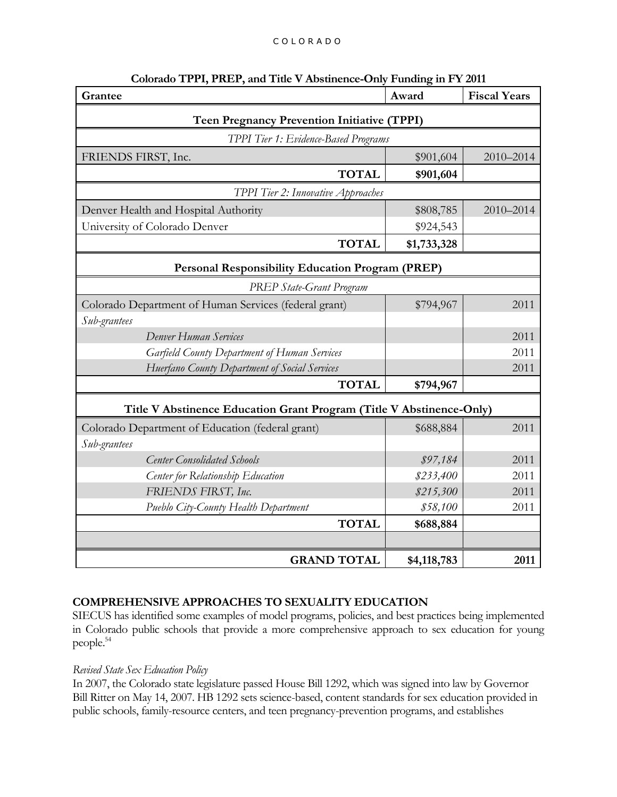| Grantee                                                              | Award       | <b>Fiscal Years</b> |
|----------------------------------------------------------------------|-------------|---------------------|
| <b>Teen Pregnancy Prevention Initiative (TPPI)</b>                   |             |                     |
| TPPI Tier 1: Evidence-Based Programs                                 |             |                     |
| FRIENDS FIRST, Inc.                                                  | \$901,604   | 2010-2014           |
| <b>TOTAL</b>                                                         | \$901,604   |                     |
| TPPI Tier 2: Innovative Approaches                                   |             |                     |
| Denver Health and Hospital Authority                                 | \$808,785   | 2010-2014           |
| University of Colorado Denver                                        | \$924,543   |                     |
| <b>TOTAL</b>                                                         | \$1,733,328 |                     |
| <b>Personal Responsibility Education Program (PREP)</b>              |             |                     |
| <b>PREP State-Grant Program</b>                                      |             |                     |
| Colorado Department of Human Services (federal grant)                | \$794,967   | 2011                |
| Sub-grantees                                                         |             |                     |
| Denver Human Services                                                |             | 2011                |
| Garfield County Department of Human Services                         |             | 2011                |
| Huerfano County Department of Social Services                        |             | 2011                |
| <b>TOTAL</b>                                                         | \$794,967   |                     |
| Title V Abstinence Education Grant Program (Title V Abstinence-Only) |             |                     |
| Colorado Department of Education (federal grant)                     | \$688,884   | 2011                |
| Sub-grantees                                                         |             |                     |
| <b>Center Consolidated Schools</b>                                   | \$97,184    | 2011                |
| Center for Relationship Education                                    | \$233,400   | 2011                |
| FRIENDS FIRST, Inc.                                                  | \$215,300   | 2011                |
| Pueblo City-County Health Department                                 | \$58,100    | 2011                |
| <b>TOTAL</b>                                                         | \$688,884   |                     |
|                                                                      |             |                     |
| <b>GRAND TOTAL</b>                                                   | \$4,118,783 | 2011                |

## **Colorado TPPI, PREP, and Title V Abstinence-Only Funding in FY 2011**

# **COMPREHENSIVE APPROACHES TO SEXUALITY EDUCATION**

SIECUS has identified some examples of model programs, policies, and best practices being implemented in Colorado public schools that provide a more comprehensive approach to sex education for young people.<sup>54</sup>

# *Revised State Sex Education Policy*

In 2007, the Colorado state legislature passed House Bill 1292, which was signed into law by Governor Bill Ritter on May 14, 2007. HB 1292 sets science-based, content standards for sex education provided in public schools, family-resource centers, and teen pregnancy-prevention programs, and establishes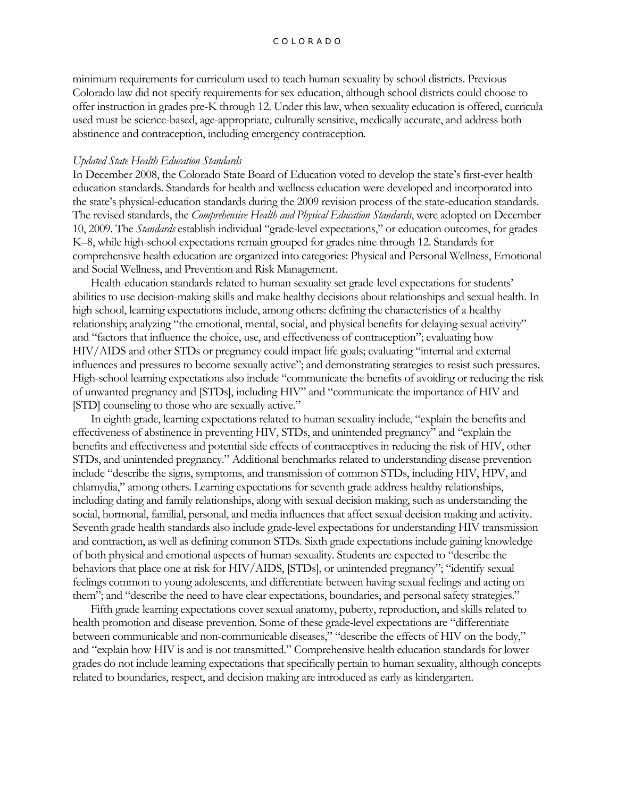minimum requirements for curriculum used to teach human sexuality by school districts. Previous Colorado law did not specify requirements for sex education, although school districts could choose to offer instruction in grades pre-K through 12. Under this law, when sexuality education is offered, curricula used must be science-based, age-appropriate, culturally sensitive, medically accurate, and address both abstinence and contraception, including emergency contraception.

#### *Updated State Health Education Standards*

In December 2008, the Colorado State Board of Education voted to develop the state's first-ever health education standards. Standards for health and wellness education were developed and incorporated into the state's physical-education standards during the 2009 revision process of the state-education standards. The revised standards, the *Comprehensive Health and Physical Education Standards*, were adopted on December 10, 2009. The *Standards* establish individual "grade-level expectations," or education outcomes, for grades K–8, while high-school expectations remain grouped for grades nine through 12. Standards for comprehensive health education are organized into categories: Physical and Personal Wellness, Emotional and Social Wellness, and Prevention and Risk Management.

Health-education standards related to human sexuality set grade-level expectations for students' abilities to use decision-making skills and make healthy decisions about relationships and sexual health. In high school, learning expectations include, among others: defining the characteristics of a healthy relationship; analyzing "the emotional, mental, social, and physical benefits for delaying sexual activity" and "factors that influence the choice, use, and effectiveness of contraception"; evaluating how HIV/AIDS and other STDs or pregnancy could impact life goals; evaluating "internal and external influences and pressures to become sexually active"; and demonstrating strategies to resist such pressures. High-school learning expectations also include "communicate the benefits of avoiding or reducing the risk of unwanted pregnancy and [STDs], including HIV" and "communicate the importance of HIV and [STD] counseling to those who are sexually active."

In eighth grade, learning expectations related to human sexuality include, "explain the benefits and effectiveness of abstinence in preventing HIV, STDs, and unintended pregnancy" and "explain the benefits and effectiveness and potential side effects of contraceptives in reducing the risk of HIV, other STDs, and unintended pregnancy." Additional benchmarks related to understanding disease prevention include "describe the signs, symptoms, and transmission of common STDs, including HIV, HPV, and chlamydia," among others. Learning expectations for seventh grade address healthy relationships, including dating and family relationships, along with sexual decision making, such as understanding the social, hormonal, familial, personal, and media influences that affect sexual decision making and activity. Seventh grade health standards also include grade-level expectations for understanding HIV transmission and contraction, as well as defining common STDs. Sixth grade expectations include gaining knowledge of both physical and emotional aspects of human sexuality. Students are expected to "describe the behaviors that place one at risk for HIV/AIDS, [STDs], or unintended pregnancy"; "identify sexual feelings common to young adolescents, and differentiate between having sexual feelings and acting on them"; and "describe the need to have clear expectations, boundaries, and personal safety strategies."

Fifth grade learning expectations cover sexual anatomy, puberty, reproduction, and skills related to health promotion and disease prevention. Some of these grade-level expectations are "differentiate between communicable and non-communicable diseases," "describe the effects of HIV on the body," and "explain how HIV is and is not transmitted." Comprehensive health education standards for lower grades do not include learning expectations that specifically pertain to human sexuality, although concepts related to boundaries, respect, and decision making are introduced as early as kindergarten.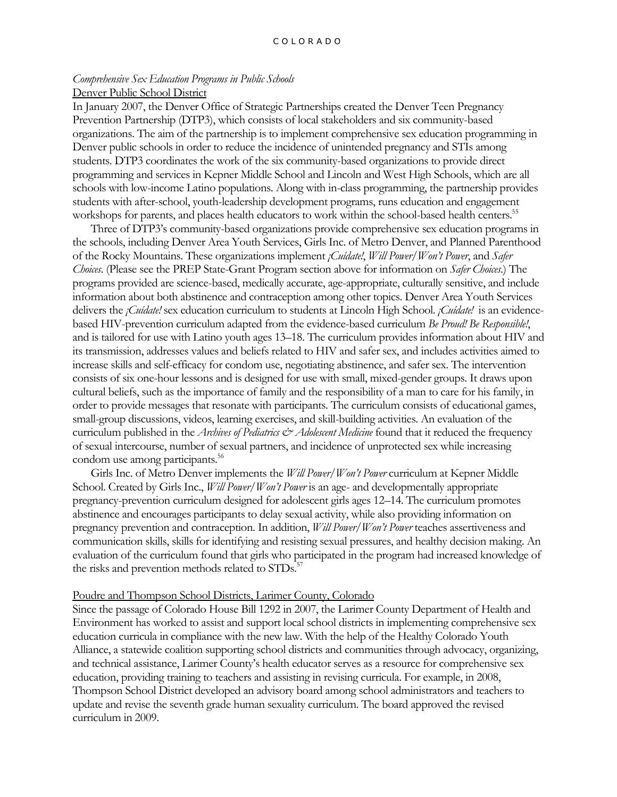#### *Comprehensive Sex Education Programs in Public Schools* Denver Public School District

In January 2007, the Denver Office of Strategic Partnerships created the Denver Teen Pregnancy Prevention Partnership (DTP3), which consists of local stakeholders and six community-based organizations. The aim of the partnership is to implement comprehensive sex education programming in Denver public schools in order to reduce the incidence of unintended pregnancy and STIs among students. DTP3 coordinates the work of the six community-based organizations to provide direct programming and services in Kepner Middle School and Lincoln and West High Schools, which are all schools with low-income Latino populations. Along with in-class programming, the partnership provides students with after-school, youth-leadership development programs, runs education and engagement workshops for parents, and places health educators to work within the school-based health centers.<sup>55</sup>

Three of DTP3's community-based organizations provide comprehensive sex education programs in the schools, including Denver Area Youth Services, Girls Inc. of Metro Denver, and Planned Parenthood of the Rocky Mountains. These organizations implement *¡Cuídate!*, *Will Power/Won't Power*, and *Safer Choices*. (Please see the PREP State-Grant Program section above for information on *Safer Choices*.) The programs provided are science-based, medically accurate, age-appropriate, culturally sensitive, and include information about both abstinence and contraception among other topics. Denver Area Youth Services delivers the *¡Cuídate!* sex education curriculum to students at Lincoln High School. *¡Cuídate!* is an evidencebased HIV-prevention curriculum adapted from the evidence-based curriculum *Be Proud! Be Responsible!*, and is tailored for use with Latino youth ages 13–18. The curriculum provides information about HIV and its transmission, addresses values and beliefs related to HIV and safer sex, and includes activities aimed to increase skills and self-efficacy for condom use, negotiating abstinence, and safer sex. The intervention consists of six one-hour lessons and is designed for use with small, mixed-gender groups. It draws upon cultural beliefs, such as the importance of family and the responsibility of a man to care for his family, in order to provide messages that resonate with participants. The curriculum consists of educational games, small-group discussions, videos, learning exercises, and skill-building activities. An evaluation of the curriculum published in the *Archives of Pediatrics & Adolescent Medicine* found that it reduced the frequency of sexual intercourse, number of sexual partners, and incidence of unprotected sex while increasing condom use among participants.<sup>56</sup>

Girls Inc. of Metro Denver implements the *Will Power/Won't Power* curriculum at Kepner Middle School. Created by Girls Inc., *Will Power/Won't Power* is an age- and developmentally appropriate pregnancy-prevention curriculum designed for adolescent girls ages 12–14. The curriculum promotes abstinence and encourages participants to delay sexual activity, while also providing information on pregnancy prevention and contraception. In addition, *Will Power/Won't Power* teaches assertiveness and communication skills, skills for identifying and resisting sexual pressures, and healthy decision making. An evaluation of the curriculum found that girls who participated in the program had increased knowledge of the risks and prevention methods related to STDs.<sup>5</sup>

#### Poudre and Thompson School Districts, Larimer County, Colorado

Since the passage of Colorado House Bill 1292 in 2007, the Larimer County Department of Health and Environment has worked to assist and support local school districts in implementing comprehensive sex education curricula in compliance with the new law. With the help of the Healthy Colorado Youth Alliance, a statewide coalition supporting school districts and communities through advocacy, organizing, and technical assistance, Larimer County's health educator serves as a resource for comprehensive sex education, providing training to teachers and assisting in revising curricula. For example, in 2008, Thompson School District developed an advisory board among school administrators and teachers to update and revise the seventh grade human sexuality curriculum. The board approved the revised curriculum in 2009.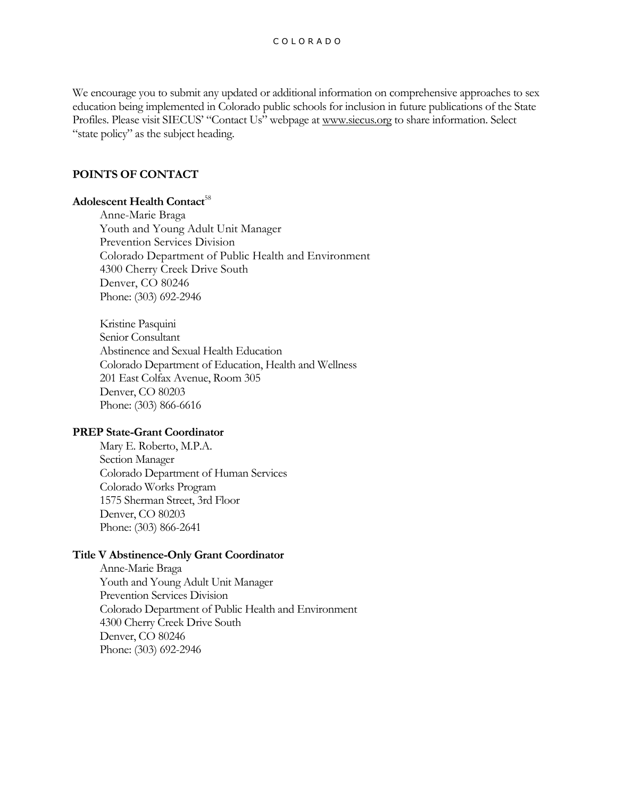We encourage you to submit any updated or additional information on comprehensive approaches to sex education being implemented in Colorado public schools for inclusion in future publications of the State Profiles. Please visit SIECUS' "Contact Us" webpage at [www.siecus.org](http://www.siecus.org/) to share information. Select "state policy" as the subject heading.

# **POINTS OF CONTACT**

## **Adolescent Health Contact**<sup>58</sup>

Anne-Marie Braga Youth and Young Adult Unit Manager Prevention Services Division Colorado Department of Public Health and Environment 4300 Cherry Creek Drive South Denver, CO 80246 Phone: (303) 692-2946

Kristine Pasquini Senior Consultant Abstinence and Sexual Health Education Colorado Department of Education, Health and Wellness 201 East Colfax Avenue, Room 305 Denver, CO 80203 Phone: (303) 866-6616

# **PREP State-Grant Coordinator**

Mary E. Roberto, M.P.A. Section Manager Colorado Department of Human Services Colorado Works Program 1575 Sherman Street, 3rd Floor Denver, CO 80203 Phone: (303) 866-2641

#### **Title V Abstinence-Only Grant Coordinator**

Anne-Marie Braga Youth and Young Adult Unit Manager Prevention Services Division Colorado Department of Public Health and Environment 4300 Cherry Creek Drive South Denver, CO 80246 Phone: (303) 692-2946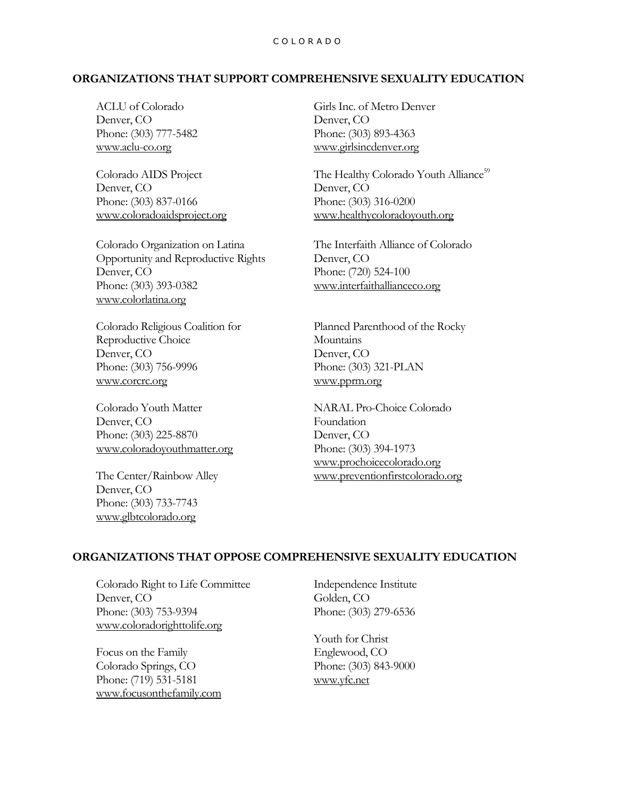#### C O L O R A D O

## **ORGANIZATIONS THAT SUPPORT COMPREHENSIVE SEXUALITY EDUCATION**

ACLU of Colorado Denver, CO Phone: (303) 777-5482 [www.aclu-co.org](http://www.aclu-co.org/)

Colorado AIDS Project Denver, CO Phone: (303) 837-0166 [www.coloradoaidsproject.org](http://www.coloradoaidsproject.org/)

Colorado Organization on Latina Opportunity and Reproductive Rights Denver, CO Phone: (303) 393-0382 [www.colorlatina.org](http://www.colorlatina.org/)

Colorado Religious Coalition for Reproductive Choice Denver, CO Phone: (303) 756-9996 [www.corcrc.org](http://www.corcrc.org/)

Colorado Youth Matter Denver, CO Phone: (303) 225-8870 [www.coloradoyouthmatter.org](http://www.coloradoyouthmatter.org/)

The Center/Rainbow Alley Denver, CO Phone: (303) 733-7743 [www.glbtcolorado.org](http://www.glbtcolorado.org/)

Girls Inc. of Metro Denver Denver, CO Phone: (303) 893-4363 [www.girlsincdenver.org](http://www.girlsincdenver.org/)

The Healthy Colorado Youth Alliance<sup>59</sup> Denver, CO Phone: (303) 316-0200 [www.healthycoloradoyouth.org](http://www.healthycoloradoyouth.org/)

The Interfaith Alliance of Colorado Denver, CO Phone: (720) 524-100 [www.interfaithallianceco.org](http://www.interfaithallianceco.org/)

Planned Parenthood of the Rocky **Mountains** Denver, CO Phone: (303) 321-PLAN [www.pprm.org](http://www.pprm.org/)

NARAL Pro-Choice Colorado Foundation Denver, CO Phone: (303) 394-1973 [www.prochoicecolorado.org](http://www.prochoicecolorado.org/) [www.preventionfirstcolorado.org](http://www.preventionfirstcolorado.org/)

## **ORGANIZATIONS THAT OPPOSE COMPREHENSIVE SEXUALITY EDUCATION**

Colorado Right to Life Committee Denver, CO Phone: (303) 753-9394 [www.coloradorighttolife.org](http://www.coloradorighttolife.org/)

Focus on the Family Colorado Springs, CO Phone: (719) 531-5181 [www.focusonthefamily.com](http://www.focusonthefamily.com/) Independence Institute Golden, CO Phone: (303) 279-6536

Youth for Christ Englewood, CO Phone: (303) 843-9000 [www.yfc.net](http://www.gospelcom.net/yfc)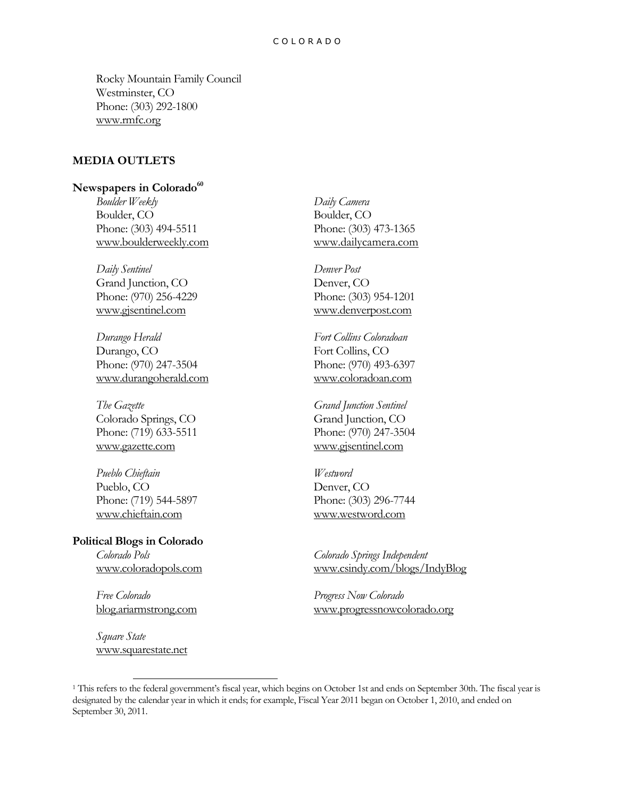Rocky Mountain Family Council Westminster, CO Phone: (303) 292-1800 [www.rmfc.org](http://www.rmfc.org/)

# **MEDIA OUTLETS**

## **Newspapers in Colorado<sup>60</sup>**

*Boulder Weekly* Boulder, CO Phone: (303) 494-5511 [www.boulderweekly.com](http://www.boulderweekly.com/)

*Daily Sentinel* Grand Junction, CO Phone: (970) 256-4229 [www.gjsentinel.com](http://www.gjsentinel.com/)

*Durango Herald* Durango, CO Phone: (970) 247-3504 [www.durangoherald.com](http://www.durangoherald.com/)

*The Gazette* Colorado Springs, CO Phone: (719) 633-5511 [www.gazette.com](http://www.gazette.com/)

*Pueblo Chieftain* Pueblo, CO Phone: (719) 544-5897 [www.chieftain.com](http://www.chieftain.com/)

#### **Political Blogs in Colorado** *Colorado Pols*

[www.coloradopols.com](http://www.coloradopols.com/)

*Free Colorado* [blog.ariarmstrong.com](http://blog.ariarmstrong.com/)

*Square State* [www.squarestate.net](http://www.squarestate.net/)

l

*Daily Camera* Boulder, CO Phone: (303) 473-1365 [www.dailycamera.com](http://www.dailycamera.com/)

*Denver Post* Denver, CO Phone: (303) 954-1201 [www.denverpost.com](http://www.denverpost.com/)

*Fort Collins Coloradoan* Fort Collins, CO Phone: (970) 493-6397 [www.coloradoan.com](http://www.coloradoan.com/)

*Grand Junction Sentinel* Grand Junction, CO Phone: (970) 247-3504 [www.gjsentinel.com](http://www.gjsentinel.com/)

*Westword* Denver, CO Phone: (303) 296-7744 [www.westword.com](http://www.westword.com/)

*Colorado Springs Independent* [www.csindy.com/blogs/IndyBlog](http://www.csindy.com/blogs/IndyBlog/)

*Progress Now Colorado* [www.progressnowcolorado.org](http://www.progressnowcolorado.org/page/community/group/FrontPage)

<sup>&</sup>lt;sup>1</sup> This refers to the federal government's fiscal year, which begins on October 1st and ends on September 30th. The fiscal year is designated by the calendar year in which it ends; for example, Fiscal Year 2011 began on October 1, 2010, and ended on September 30, 2011.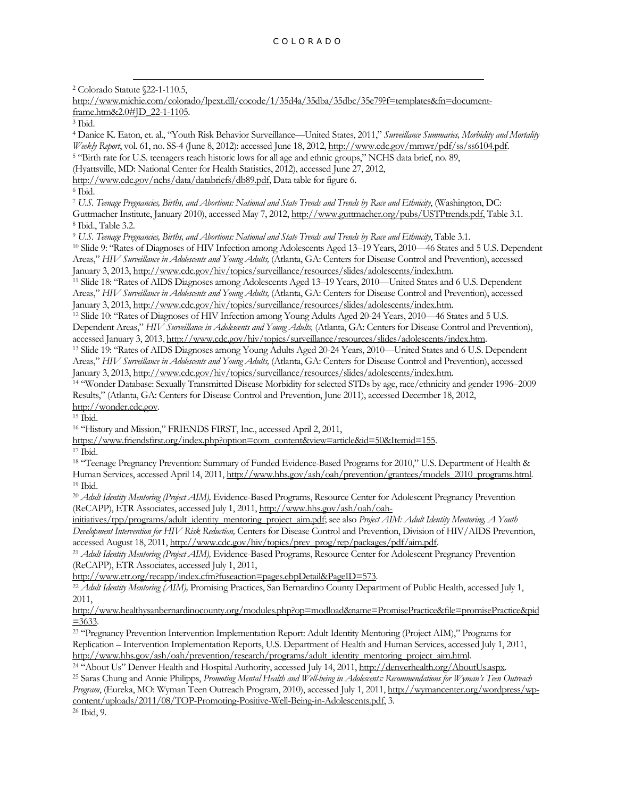l <sup>2</sup> Colorado Statute §22-1-110.5,

[http://www.michie.com/colorado/lpext.dll/cocode/1/35d4a/35dba/35dbc/35e79?f=templates&fn=document](http://www.michie.com/colorado/lpext.dll/cocode/1/35d4a/35dba/35dbc/35e79?f=templates&fn=document-frame.htm&2.0#JD_22-1-1105)[frame.htm&2.0#JD\\_22-1-1105.](http://www.michie.com/colorado/lpext.dll/cocode/1/35d4a/35dba/35dbc/35e79?f=templates&fn=document-frame.htm&2.0#JD_22-1-1105) <sup>3</sup> Ibid. <sup>4</sup> Danice K. Eaton, et. al., "Youth Risk Behavior Surveillance—United States, 2011," *Surveillance Summaries, Morbidity and Mortality Weekly Report*, vol. 61, no. SS-4 (June 8, 2012): accessed June 18, 2012, [http://www.cdc.gov/mmwr/pdf/ss/ss6104.pdf.](http://www.cdc.gov/mmwr/pdf/ss/ss6104.pdf)  <sup>5</sup> "Birth rate for U.S. teenagers reach historic lows for all age and ethnic groups," NCHS data brief, no. 89, (Hyattsville, MD: National Center for Health Statistics, 2012), accessed June 27, 2012, [http://www.cdc.gov/nchs/data/databriefs/db89.pdf,](http://www.cdc.gov/nchs/data/databriefs/db89.pdf) Data table for figure 6. <sup>6</sup> Ibid. <sup>7</sup> *U.S. Teenage Pregnancies, Births, and Abortions: National and State Trends and Trends by Race and Ethnicity*, (Washington, DC: Guttmacher Institute, January 2010), accessed May 7, 2012[, http://www.guttmacher.org/pubs/USTPtrends.pdf,](http://www.guttmacher.org/pubs/USTPtrends.pdf) Table 3.1. <sup>8</sup> Ibid., Table 3.2. <sup>9</sup> *U.S. Teenage Pregnancies, Births, and Abortions: National and State Trends and Trends by Race and Ethnicity*, Table 3.1. <sup>10</sup> Slide 9: "Rates of Diagnoses of HIV Infection among Adolescents Aged 13–19 Years, 2010—46 States and 5 U.S. Dependent Areas," *HIV Surveillance in Adolescents and Young Adults,* (Atlanta, GA: Centers for Disease Control and Prevention), accessed January 3, 2013[, http://www.cdc.gov/hiv/topics/surveillance/resources/slides/adolescents/index.htm.](http://www.cdc.gov/hiv/topics/surveillance/resources/slides/adolescents/index.htm) <sup>11</sup> Slide 18: "Rates of AIDS Diagnoses among Adolescents Aged 13–19 Years, 2010—United States and 6 U.S. Dependent Areas," *HIV Surveillance in Adolescents and Young Adults,* (Atlanta, GA: Centers for Disease Control and Prevention), accessed January 3, 2013[, http://www.cdc.gov/hiv/topics/surveillance/resources/slides/adolescents/index.htm.](http://www.cdc.gov/hiv/topics/surveillance/resources/slides/adolescents/index.htm) <sup>12</sup> Slide 10: "Rates of Diagnoses of HIV Infection among Young Adults Aged 20-24 Years, 2010—46 States and 5 U.S. Dependent Areas," *HIV Surveillance in Adolescents and Young Adults,* (Atlanta, GA: Centers for Disease Control and Prevention), accessed January 3, 2013[, http://www.cdc.gov/hiv/topics/surveillance/resources/slides/adolescents/index.htm.](http://www.cdc.gov/hiv/topics/surveillance/resources/slides/adolescents/index.htm) <sup>13</sup> Slide 19: "Rates of AIDS Diagnoses among Young Adults Aged 20-24 Years, 2010—United States and 6 U.S. Dependent Areas," *HIV Surveillance in Adolescents and Young Adults,* (Atlanta, GA: Centers for Disease Control and Prevention), accessed January 3, 2013[, http://www.cdc.gov/hiv/topics/surveillance/resources/slides/adolescents/index.htm.](http://www.cdc.gov/hiv/topics/surveillance/resources/slides/adolescents/index.htm) <sup>14</sup> "Wonder Database: Sexually Transmitted Disease Morbidity for selected STDs by age, race/ethnicity and gender 1996–2009 Results," (Atlanta, GA: Centers for Disease Control and Prevention, June 2011), accessed December 18, 2012, [http://wonder.cdc.gov.](http://wonder.cdc.gov/) <sup>15</sup> Ibid. <sup>16</sup> "History and Mission," FRIENDS FIRST, Inc., accessed April 2, 2011, [https://www.friendsfirst.org/index.php?option=com\\_content&view=article&id=50&Itemid=155.](https://www.friendsfirst.org/index.php?option=com_content&view=article&id=50&Itemid=155)  <sup>17</sup> Ibid. <sup>18</sup> "Teenage Pregnancy Prevention: Summary of Funded Evidence-Based Programs for 2010," U.S. Department of Health & Human Services, accessed April 14, 2011, [http://www.hhs.gov/ash/oah/prevention/grantees/models\\_2010\\_programs.html.](http://www.hhs.gov/ash/oah/prevention/grantees/models_2010_programs.html) <sup>19</sup> Ibid. <sup>20</sup> *Adult Identity Mentoring (Project AIM),* Evidence-Based Programs, Resource Center for Adolescent Pregnancy Prevention (ReCAPP), ETR Associates, accessed July 1, 2011[, http://www.hhs.gov/ash/oah/oah](http://www.hhs.gov/ash/oah/oah-initiatives/tpp/programs/adult_identity_mentoring_project_aim.pdf)[initiatives/tpp/programs/adult\\_identity\\_mentoring\\_project\\_aim.pdf;](http://www.hhs.gov/ash/oah/oah-initiatives/tpp/programs/adult_identity_mentoring_project_aim.pdf) see also *Project AIM: Adult Identity Mentoring, A Youth Development Intervention for HIV Risk Reduction,* Centers for Disease Control and Prevention, Division of HIV/AIDS Prevention, accessed August 18, 2011[, http://www.cdc.gov/hiv/topics/prev\\_prog/rep/packages/pdf/aim.pdf.](http://www.cdc.gov/hiv/topics/prev_prog/rep/packages/pdf/aim.pdf) <sup>21</sup> *Adult Identity Mentoring (Project AIM),* Evidence-Based Programs, Resource Center for Adolescent Pregnancy Prevention (ReCAPP), ETR Associates, accessed July 1, 2011, [http://www.etr.org/recapp/index.cfm?fuseaction=pages.ebpDetail&PageID=573.](http://www.etr.org/recapp/index.cfm?fuseaction=pages.ebpDetail&PageID=573) <sup>22</sup> Adult Identity Mentoring (AIM), Promising Practices, San Bernardino County Department of Public Health, accessed July 1, 2011, [http://www.healthysanbernardinocounty.org/modules.php?op=modload&name=PromisePractice&file=promisePractice&pid](http://www.healthysanbernardinocounty.org/modules.php?op=modload&name=PromisePractice&file=promisePractice&pid=3633)  $=3633.$ <sup>23</sup> "Pregnancy Prevention Intervention Implementation Report: Adult Identity Mentoring (Project AIM)," Programs for Replication – Intervention Implementation Reports, U.S. Department of Health and Human Services, accessed July 1, 2011, [http://www.hhs.gov/ash/oah/prevention/research/programs/adult\\_identity\\_mentoring\\_project\\_aim.html.](http://www.hhs.gov/ash/oah/prevention/research/programs/adult_identity_mentoring_project_aim.html) <sup>24 "</sup>About Us" Denver Health and Hospital Authority, accessed July 14, 2011[, http://denverhealth.org/AboutUs.aspx.](http://denverhealth.org/AboutUs.aspx) <sup>25</sup> Saras Chung and Annie Philipps, *Promoting Mental Health and Well-being in Adolescents: Recommendations for Wyman's Teen Outreach* 

*Program*, (Eureka, MO: Wyman Teen Outreach Program, 2010), accessed July 1, 2011[, http://wymancenter.org/wordpress/wp](http://wymancenter.org/wordpress/wp-content/uploads/2011/08/TOP-Promoting-Positive-Well-Being-in-Adolescents.pdf)[content/uploads/2011/08/TOP-Promoting-Positive-Well-Being-in-Adolescents.pdf,](http://wymancenter.org/wordpress/wp-content/uploads/2011/08/TOP-Promoting-Positive-Well-Being-in-Adolescents.pdf) 3.

<sup>26</sup> Ibid, 9.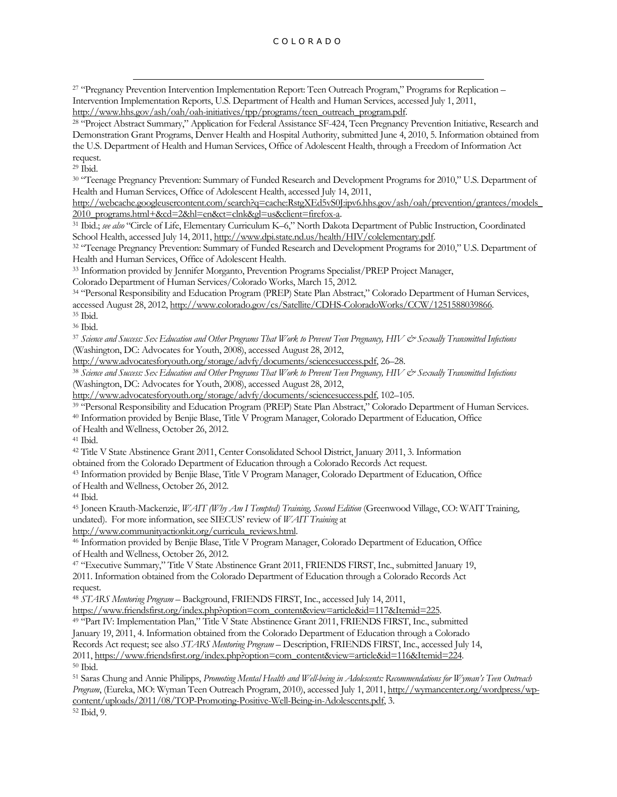<sup>27</sup> "Pregnancy Prevention Intervention Implementation Report: Teen Outreach Program," Programs for Replication – Intervention Implementation Reports, U.S. Department of Health and Human Services, accessed July 1, 2011, [http://www.hhs.gov/ash/oah/oah-initiatives/tpp/programs/teen\\_outreach\\_program.pdf.](http://www.hhs.gov/ash/oah/oah-initiatives/tpp/programs/teen_outreach_program.pdf)

<sup>28</sup> "Project Abstract Summary," Application for Federal Assistance SF-424, Teen Pregnancy Prevention Initiative, Research and Demonstration Grant Programs, Denver Health and Hospital Authority, submitted June 4, 2010, 5. Information obtained from the U.S. Department of Health and Human Services, Office of Adolescent Health, through a Freedom of Information Act

request. <sup>29</sup> Ibid.

l

<sup>30</sup> "Teenage Pregnancy Prevention: Summary of Funded Research and Development Programs for 2010," U.S. Department of Health and Human Services, Office of Adolescent Health, accessed July 14, 2011,

[http://webcache.googleusercontent.com/search?q=cache:RstgXEd5vS0J:ipv6.hhs.gov/ash/oah/prevention/grantees/models\\_](http://webcache.googleusercontent.com/search?q=cache:RstgXEd5vS0J:ipv6.hhs.gov/ash/oah/prevention/grantees/models_2010_programs.html+&cd=2&hl=en&ct=clnk&gl=us&client=firefox-a) [2010\\_programs.html+&cd=2&hl=en&ct=clnk&gl=us&client=firefox-a.](http://webcache.googleusercontent.com/search?q=cache:RstgXEd5vS0J:ipv6.hhs.gov/ash/oah/prevention/grantees/models_2010_programs.html+&cd=2&hl=en&ct=clnk&gl=us&client=firefox-a)

<sup>31</sup> Ibid.; *see also* "Circle of Life, Elementary Curriculum K–6," North Dakota Department of Public Instruction, Coordinated School Health, accessed July 14, 2011[, http://www.dpi.state.nd.us/health/HIV/colelementary.pdf.](http://www.dpi.state.nd.us/health/HIV/colelementary.pdf)

<sup>32</sup> "Teenage Pregnancy Prevention: Summary of Funded Research and Development Programs for 2010," U.S. Department of Health and Human Services, Office of Adolescent Health.

<sup>33</sup> Information provided by Jennifer Morganto, Prevention Programs Specialist/PREP Project Manager,

Colorado Department of Human Services/Colorado Works, March 15, 2012.

<sup>34</sup> "Personal Responsibility and Education Program (PREP) State Plan Abstract," Colorado Department of Human Services, accessed August 28, 2012[, http://www.colorado.gov/cs/Satellite/CDHS-ColoradoWorks/CCW/1251588039866.](http://www.colorado.gov/cs/Satellite/CDHS-ColoradoWorks/CCW/1251588039866)

<sup>35</sup> Ibid. <sup>36</sup> Ibid.

<sup>37</sup> *Science and Success: Sex Education and Other Programs That Work to Prevent Teen Pregnancy, HIV & Sexually Transmitted Infections* (Washington, DC: Advocates for Youth, 2008), accessed August 28, 2012,

[http://www.advocatesforyouth.org/storage/advfy/documents/sciencesuccess.pdf,](http://www.advocatesforyouth.org/storage/advfy/documents/sciencesuccess.pdf) 26–28.

<sup>38</sup> Science and Success: Sex Education and Other Programs That Work to Prevent Teen Pregnancy, HIV & Sexually Transmitted Infections (Washington, DC: Advocates for Youth, 2008), accessed August 28, 2012,

[http://www.advocatesforyouth.org/storage/advfy/documents/sciencesuccess.pdf,](http://www.advocatesforyouth.org/storage/advfy/documents/sciencesuccess.pdf) 102–105.

<sup>39</sup> "Personal Responsibility and Education Program (PREP) State Plan Abstract." Colorado Department of Human Services.

<sup>40</sup> Information provided by Benjie Blase, Title V Program Manager, Colorado Department of Education, Office

of Health and Wellness, October 26, 2012.

<sup>41</sup> Ibid.

<sup>42</sup> Title V State Abstinence Grant 2011, Center Consolidated School District, January 2011, 3. Information

obtained from the Colorado Department of Education through a Colorado Records Act request.

<sup>43</sup> Information provided by Benjie Blase, Title V Program Manager, Colorado Department of Education, Office of Health and Wellness, October 26, 2012.

<sup>44</sup> Ibid.

<sup>45</sup> Joneen Krauth-Mackenzie, *WAIT (Why Am I Tempted) Training, Second Edition* (Greenwood Village, CO: WAIT Training, undated). For more information, see SIECUS' review of *WAIT Training* at

[http://www.communityactionkit.org/curricula\\_reviews.html.](http://www.communityactionkit.org/curricula_reviews.html)

<sup>46</sup> Information provided by Benjie Blase, Title V Program Manager, Colorado Department of Education, Office of Health and Wellness, October 26, 2012.

<sup>47</sup> "Executive Summary," Title V State Abstinence Grant 2011, FRIENDS FIRST, Inc., submitted January 19, 2011. Information obtained from the Colorado Department of Education through a Colorado Records Act request.

<sup>48</sup> *STARS Mentoring Program* – Background, FRIENDS FIRST, Inc., accessed July 14, 2011,

[https://www.friendsfirst.org/index.php?option=com\\_content&view=article&id=117&Itemid=225.](https://www.friendsfirst.org/index.php?option=com_content&view=article&id=117&Itemid=225)

<sup>49</sup> "Part IV: Implementation Plan," Title V State Abstinence Grant 2011, FRIENDS FIRST, Inc., submitted

January 19, 2011, 4. Information obtained from the Colorado Department of Education through a Colorado

Records Act request; see also *STARS Mentoring Program* – Description, FRIENDS FIRST, Inc., accessed July 14,

2011, [https://www.friendsfirst.org/index.php?option=com\\_content&view=article&id=116&Itemid=224.](https://www.friendsfirst.org/index.php?option=com_content&view=article&id=116&Itemid=224) <sup>50</sup> Ibid.

<sup>51</sup> Saras Chung and Annie Philipps, *Promoting Mental Health and Well-being in Adolescents: Recommendations for Wyman's Teen Outreach Program*, (Eureka, MO: Wyman Teen Outreach Program, 2010), accessed July 1, 2011[, http://wymancenter.org/wordpress/wp](http://wymancenter.org/wordpress/wp-content/uploads/2011/08/TOP-Promoting-Positive-Well-Being-in-Adolescents.pdf)[content/uploads/2011/08/TOP-Promoting-Positive-Well-Being-in-Adolescents.pdf,](http://wymancenter.org/wordpress/wp-content/uploads/2011/08/TOP-Promoting-Positive-Well-Being-in-Adolescents.pdf) 3.

<sup>52</sup> Ibid, 9.